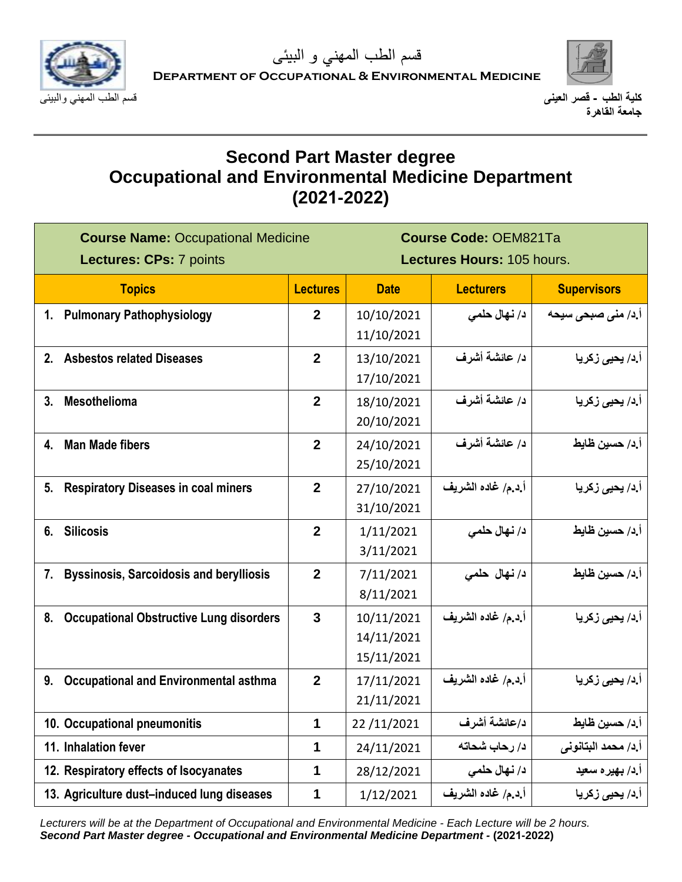



# **Second Part Master degree Occupational and Environmental Medicine Department (2021-2022)**

| <b>Course Name: Occupational Medicine</b><br>Lectures: CPs: 7 points |                  | <b>Course Code: OEM821Ta</b><br>Lectures Hours: 105 hours. |                    |                           |
|----------------------------------------------------------------------|------------------|------------------------------------------------------------|--------------------|---------------------------|
| <b>Topics</b>                                                        | <b>Lectures</b>  | <b>Date</b>                                                | <b>Lecturers</b>   | <b>Supervisors</b>        |
| 1. Pulmonary Pathophysiology                                         | $\mathbf{2}$     | 10/10/2021                                                 | د/ نـهال حلمى      | <b>آ.د/ منی صبحی سیحه</b> |
|                                                                      |                  | 11/10/2021                                                 |                    |                           |
| 2. Asbestos related Diseases                                         | $\mathbf{2}$     | 13/10/2021                                                 | د/ عائشة أشرف      | أ.د/ يحيى زكريا           |
|                                                                      |                  | 17/10/2021                                                 |                    |                           |
| Mesothelioma<br>3.                                                   | $\overline{2}$   | 18/10/2021                                                 | د/ عائشة أشرف      | أ.د/ يحي <i>ى</i> زكريا   |
|                                                                      |                  | 20/10/2021                                                 |                    |                           |
| 4. Man Made fibers                                                   | $\overline{2}$   | 24/10/2021                                                 | د/ عائشة أشرف      | أ.د/ حسين ظايط            |
|                                                                      |                  | 25/10/2021                                                 |                    |                           |
| <b>Respiratory Diseases in coal miners</b><br>5.                     | $\mathbf{2}$     | 27/10/2021                                                 | أ.د.م/ غاده الشريف | أ.د/ يحي <i>ى</i> زكريا   |
|                                                                      |                  | 31/10/2021                                                 |                    |                           |
| 6. Silicosis                                                         | $\mathbf{2}$     | 1/11/2021                                                  | د/ نهال حلمي       | أ.د/ حسين ظايط            |
|                                                                      |                  | 3/11/2021                                                  |                    |                           |
| <b>Byssinosis, Sarcoidosis and berylliosis</b><br>7.                 | $\boldsymbol{2}$ | 7/11/2021                                                  | د/ نهال حلمي       | أ د/ حسين ظايط            |
|                                                                      |                  | 8/11/2021                                                  |                    |                           |
| <b>Occupational Obstructive Lung disorders</b><br>8.                 | $\mathbf{3}$     | 10/11/2021                                                 | أ.د.م/ غاده الشريف | أ.د/ يحي <i>ى</i> زكريا   |
|                                                                      |                  | 14/11/2021                                                 |                    |                           |
|                                                                      |                  | 15/11/2021                                                 |                    |                           |
| <b>Occupational and Environmental asthma</b><br>9.                   | $\mathbf{2}$     | 17/11/2021                                                 | أ د.م/ غاده الشريف | أ.د/ يحي <i>ى</i> زكريا   |
|                                                                      |                  | 21/11/2021                                                 |                    |                           |
| 10. Occupational pneumonitis                                         | $\mathbf 1$      | 22/11/2021                                                 | د/عائشة أشرف       | أ د/ حسين ظايط            |
| 11. Inhalation fever                                                 | $\mathbf 1$      | 24/11/2021                                                 | د/ رحاب شحاته      | أ.د/ محمد البتانوني       |
| 12. Respiratory effects of Isocyanates                               | 1                | 28/12/2021                                                 | د/ نهال حلمي       | أ د/ بهيره سعيد           |
| 13. Agriculture dust-induced lung diseases                           | 1                | 1/12/2021                                                  | أ.د.م/ غاده الشريف | أ.د/ يحي <i>ى</i> زكريا   |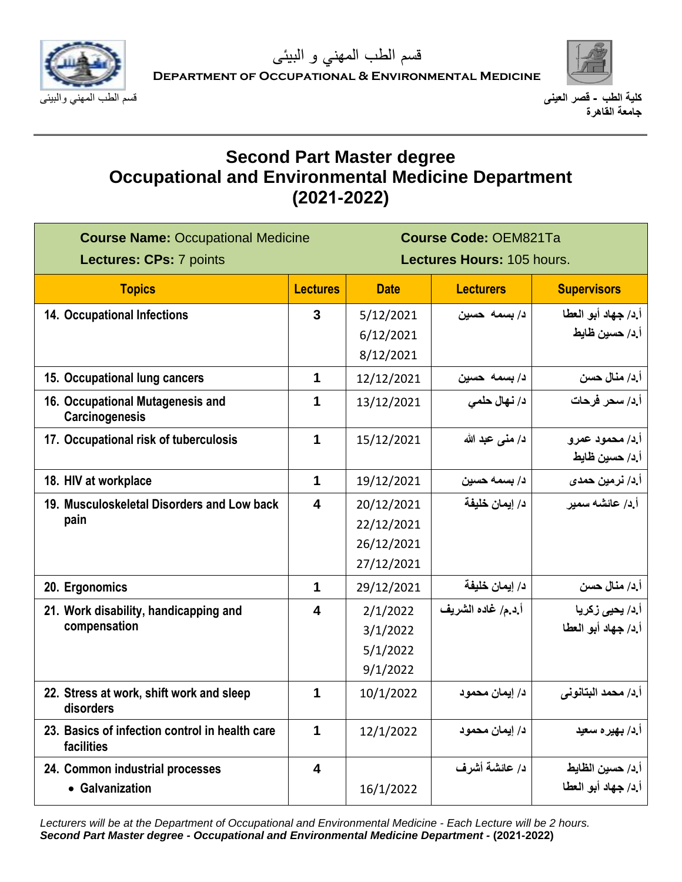



# **Second Part Master degree Occupational and Environmental Medicine Department (2021-2022)**

| <b>Course Name: Occupational Medicine</b><br><b>Lectures: CPs: 7 points</b> |                         | <b>Course Code: OEM821Ta</b><br>Lectures Hours: 105 hours. |                    |                         |
|-----------------------------------------------------------------------------|-------------------------|------------------------------------------------------------|--------------------|-------------------------|
| <b>Topics</b>                                                               | <b>Lectures</b>         | <b>Date</b>                                                | <b>Lecturers</b>   | <b>Supervisors</b>      |
| 14. Occupational Infections                                                 | $\mathbf{3}$            | 5/12/2021                                                  | د/بسمه حسين        | أ.د/ جهاد أبو العطا     |
|                                                                             |                         | 6/12/2021                                                  |                    | أ.د/ حسين ظايط          |
|                                                                             |                         | 8/12/2021                                                  |                    |                         |
| 15. Occupational lung cancers                                               | $\mathbf 1$             | 12/12/2021                                                 | د/ بسمه حسين       | أ د/ منال حسن           |
| 16. Occupational Mutagenesis and<br>Carcinogenesis                          | 1                       | 13/12/2021                                                 | د/ نهال حلمي       | أ.د/ سحر فرحات          |
| 17. Occupational risk of tuberculosis                                       | 1                       | 15/12/2021                                                 | د/ منى عبد الله    | أإد/ محمود عمرو         |
|                                                                             |                         |                                                            |                    | أ.د/ حسين ظايط          |
| 18. HIV at workplace                                                        | $\overline{\mathbf{1}}$ | 19/12/2021                                                 | د/ بسمه حسين       | أ.د/ نرمين حمد <i>ى</i> |
| 19. Musculoskeletal Disorders and Low back                                  | $\overline{\mathbf{4}}$ | 20/12/2021                                                 | د/ ايمان خليفة     | أ د/ عائشه سمير         |
| pain                                                                        |                         | 22/12/2021                                                 |                    |                         |
|                                                                             |                         | 26/12/2021                                                 |                    |                         |
|                                                                             |                         | 27/12/2021                                                 |                    |                         |
| 20. Ergonomics                                                              | $\mathbf 1$             | 29/12/2021                                                 | د/ إيمان خليفة     | أ د/ منال حسن           |
| 21. Work disability, handicapping and                                       | $\overline{\mathbf{4}}$ | 2/1/2022                                                   | أ د.م/ غاده الشريف | أ.د/ يحي <i>ى</i> زكريا |
| compensation                                                                |                         | 3/1/2022                                                   |                    | أ.د/ جهاد أبو العطا     |
|                                                                             |                         | 5/1/2022                                                   |                    |                         |
|                                                                             |                         | 9/1/2022                                                   |                    |                         |
| 22. Stress at work, shift work and sleep<br>disorders                       | 1                       | 10/1/2022                                                  | د/ إيمان محمود     | أ.د/ محمد البتانوني     |
| 23. Basics of infection control in health care<br>facilities                | 1                       | 12/1/2022                                                  | د/ إيمان محمود     | أ د/ بهير ه سعيد        |
| 24. Common industrial processes                                             | $\overline{\mathbf{4}}$ |                                                            | د/ عائشة أشرف      | أ د/ حسين الظايط        |
| • Galvanization                                                             |                         | 16/1/2022                                                  |                    | أ.د/ جهاد أبو العطا     |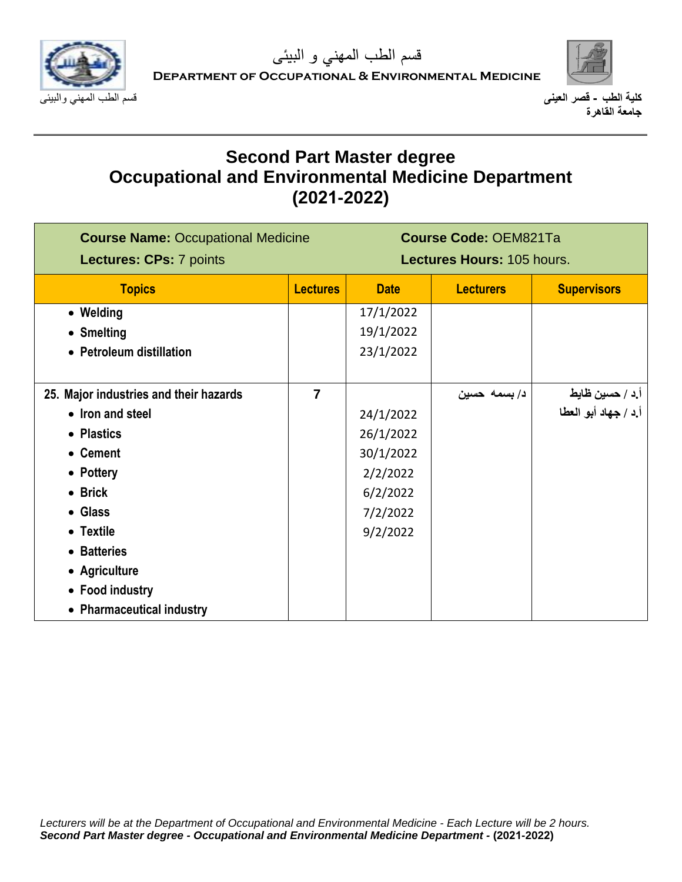



# **Second Part Master degree Occupational and Environmental Medicine Department (2021-2022)**

| <b>Course Name: Occupational Medicine</b><br>Lectures: CPs: 7 points |                 | <b>Course Code: OEM821Ta</b><br>Lectures Hours: 105 hours. |                  |                      |
|----------------------------------------------------------------------|-----------------|------------------------------------------------------------|------------------|----------------------|
| <b>Topics</b>                                                        | <b>Lectures</b> | <b>Date</b>                                                | <b>Lecturers</b> | <b>Supervisors</b>   |
| • Welding                                                            |                 | 17/1/2022                                                  |                  |                      |
| • Smelting                                                           |                 | 19/1/2022                                                  |                  |                      |
| • Petroleum distillation                                             |                 | 23/1/2022                                                  |                  |                      |
|                                                                      |                 |                                                            |                  |                      |
| 25. Major industries and their hazards                               | $\overline{7}$  |                                                            | د/بسمه حسين      | أ د / حسين ظايط      |
| • Iron and steel                                                     |                 | 24/1/2022                                                  |                  | أ.د / جهاد أبو العطا |
| • Plastics                                                           |                 | 26/1/2022                                                  |                  |                      |
| • Cement                                                             |                 | 30/1/2022                                                  |                  |                      |
| • Pottery                                                            |                 | 2/2/2022                                                   |                  |                      |
| • Brick                                                              |                 | 6/2/2022                                                   |                  |                      |
| • Glass                                                              |                 | 7/2/2022                                                   |                  |                      |
| • Textile                                                            |                 | 9/2/2022                                                   |                  |                      |
| • Batteries                                                          |                 |                                                            |                  |                      |
| • Agriculture                                                        |                 |                                                            |                  |                      |
| • Food industry                                                      |                 |                                                            |                  |                      |
| • Pharmaceutical industry                                            |                 |                                                            |                  |                      |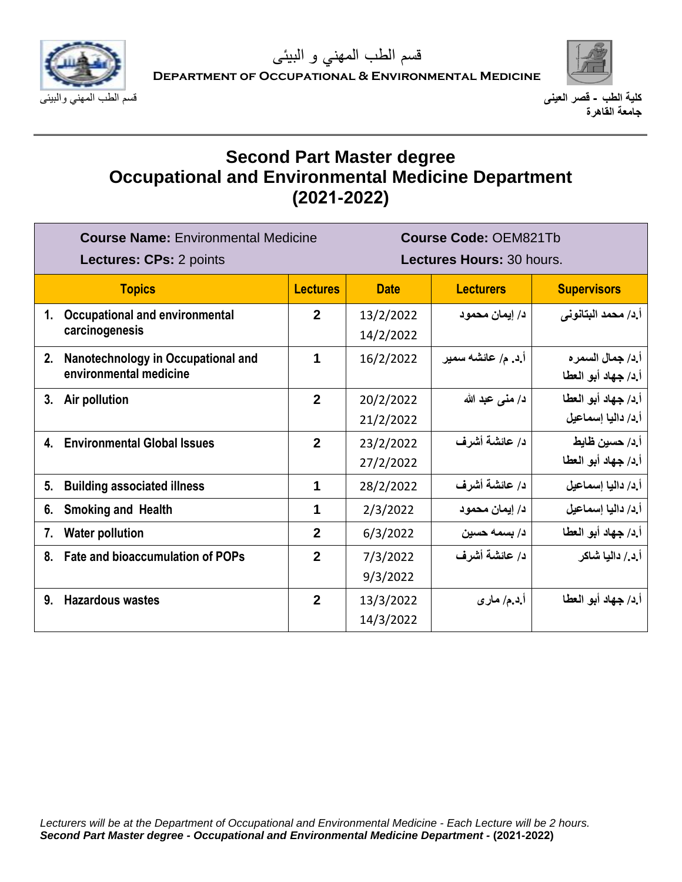



# **Second Part Master degree Occupational and Environmental Medicine Department (2021-2022)**

| <b>Course Name: Environmental Medicine</b><br><b>Lectures: CPs: 2 points</b> |                                                              | <b>Course Code: OEM821Tb</b><br>Lectures Hours: 30 hours. |                        |                    |                                           |
|------------------------------------------------------------------------------|--------------------------------------------------------------|-----------------------------------------------------------|------------------------|--------------------|-------------------------------------------|
|                                                                              | <b>Topics</b>                                                | <b>Lectures</b>                                           | <b>Date</b>            | <b>Lecturers</b>   | <b>Supervisors</b>                        |
| 1.                                                                           | <b>Occupational and environmental</b><br>carcinogenesis      | $\mathbf{2}$                                              | 13/2/2022<br>14/2/2022 | د/ ايمان محمود     | أ.د/ محمد البتانوني                       |
| 2.                                                                           | Nanotechnology in Occupational and<br>environmental medicine | 1                                                         | 16/2/2022              | أ.د. م/ عائشه سمير | أ.د/ جمال السمر ه<br>أ.د/ جهاد أبو العطا  |
| 3.                                                                           | Air pollution                                                | $\overline{2}$                                            | 20/2/2022<br>21/2/2022 | د/ منى عبد الله    | أ.د/ جهاد أبو العطا<br>أ د/ داليا إسماعيل |
| 4.                                                                           | <b>Environmental Global Issues</b>                           | $\overline{2}$                                            | 23/2/2022<br>27/2/2022 | د/ عائشة أشرف      | أ.د/ حسين ظايط<br>أ.د/ جهاد أبو العطا     |
| 5.                                                                           | <b>Building associated illness</b>                           | 1                                                         | 28/2/2022              | د/ عائشة أشرف      | أ د/ داليا إسماعيل                        |
| 6.                                                                           | <b>Smoking and Health</b>                                    | 1                                                         | 2/3/2022               | د/ إيمان محمود     | أ د/ داليا إسماعيل                        |
| 7.                                                                           | <b>Water pollution</b>                                       | $\overline{2}$                                            | 6/3/2022               | د/ بسمه حسين       | أ.د/ جهاد أبو العطا                       |
| 8.                                                                           | <b>Fate and bioaccumulation of POPs</b>                      | $\mathbf{2}$                                              | 7/3/2022<br>9/3/2022   | د/ عائشة أشرف      | أ د / داليا شاكر                          |
| 9.                                                                           | <b>Hazardous wastes</b>                                      | $\mathbf{2}$                                              | 13/3/2022<br>14/3/2022 | أ.د.م/ مار ي       | أ.د/ جهاد أبو العطا                       |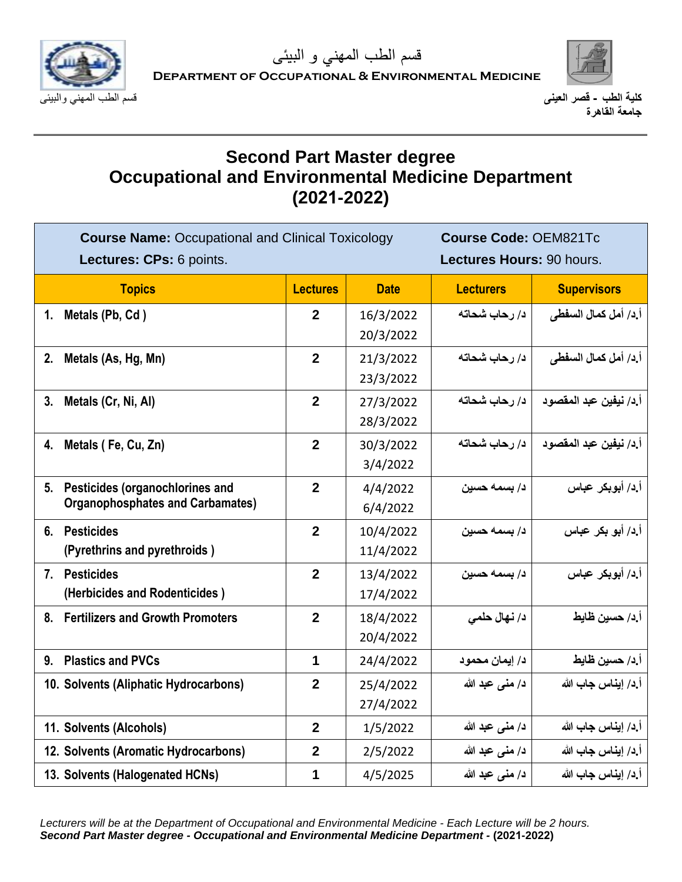



# **Second Part Master degree Occupational and Environmental Medicine Department (2021-2022)**

| <b>Course Name: Occupational and Clinical Toxicology</b><br>Lectures: CPs: 6 points. |                  |                        | <b>Course Code: OEM821Tc</b><br>Lectures Hours: 90 hours. |                        |
|--------------------------------------------------------------------------------------|------------------|------------------------|-----------------------------------------------------------|------------------------|
| <b>Topics</b>                                                                        | <b>Lectures</b>  | <b>Date</b>            | <b>Lecturers</b>                                          | <b>Supervisors</b>     |
| 1. Metals (Pb, Cd)                                                                   | $\boldsymbol{2}$ | 16/3/2022<br>20/3/2022 | د/ رحاب شحاته                                             | أ.د/ أمل كمال السفطي   |
| 2.<br>Metals (As, Hg, Mn)                                                            | $\overline{2}$   | 21/3/2022<br>23/3/2022 | د/ رحاب شحاته                                             | أ.د/ أمل كمال السفطي   |
| Metals (Cr, Ni, Al)<br>3.                                                            | $\mathbf{2}$     | 27/3/2022<br>28/3/2022 | د/ رحاب شحاته                                             | أ.د/ نيفين عبد المقصود |
| 4. Metals (Fe, Cu, Zn)                                                               | $\overline{2}$   | 30/3/2022<br>3/4/2022  | د/ رحاب شحاته                                             | أ.د/ نيفين عبد المقصود |
| Pesticides (organochlorines and<br>5.<br><b>Organophosphates and Carbamates)</b>     | $\overline{2}$   | 4/4/2022<br>6/4/2022   | د/ بسمه حسين                                              | أ د/ أبوبكر عباس       |
| 6. Pesticides<br>(Pyrethrins and pyrethroids)                                        | $\overline{2}$   | 10/4/2022<br>11/4/2022 | د/ بسمه حسين                                              | أ ٍد/ أبو بكر عباس     |
| 7. Pesticides<br>(Herbicides and Rodenticides)                                       | $\mathbf{2}$     | 13/4/2022<br>17/4/2022 | د/ بسمه حسين                                              | أ د/ أبوبكر عباس       |
| 8. Fertilizers and Growth Promoters                                                  | $\overline{2}$   | 18/4/2022<br>20/4/2022 | د/ نهال حلمي                                              | أ د/ حسين ظايط         |
| <b>Plastics and PVCs</b><br>9.                                                       | 1                | 24/4/2022              | د/ إيمان محمود                                            | أ د/ حسين ظايط         |
| 10. Solvents (Aliphatic Hydrocarbons)                                                | $\overline{2}$   | 25/4/2022<br>27/4/2022 | د/ منى عبد الله                                           | أ د/ إيناس جاب الله    |
| 11. Solvents (Alcohols)                                                              | $\overline{2}$   | 1/5/2022               | د/ منى عبد الله                                           | أ د/ إيناس جاب الله    |
| 12. Solvents (Aromatic Hydrocarbons)                                                 | $\overline{2}$   | 2/5/2022               | د/ منى عبد الله                                           | أ د/ إيناس جاب الله    |
| 13. Solvents (Halogenated HCNs)                                                      | 1                | 4/5/2025               | د/ منى عبد الله                                           | أ د/ إيناس جاب الله    |